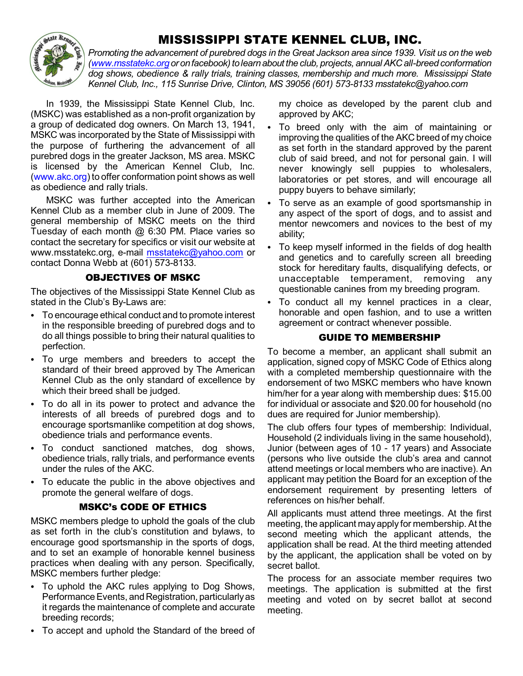## *MISSISSIPPI STATE KENNEL CLUB, INC.*



Promoting the advancement of purebred dogs in the Great Jackson area since 1939. Visit us on the web *[\(www.msstatekc.org](http://www.msstatekc.org)or onfacebook)tolearnabout the club, projects, annual AKC all-breed conformation dog shows, obedience & rally trials, training classes, membership and much more. Mississippi State Kennel Club, Inc., 115 Sunrise Drive, Clinton, MS 39056 (601) 573-8133 msstatekc@yahoo.com*

In 1939, the Mississippi State Kennel Club, Inc. (MSKC) was established as a non-profit organization by a group of dedicated dog owners. On March 13, 1941, MSKC was incorporated by the State of Mississippi with the purpose of furthering the advancement of all purebred dogs in the greater Jackson, MS area. MSKC is licensed by the American Kennel Club, Inc. (www.akc.org) to offer conformation point shows as well as obedience and rally trials.

MSKC was further accepted into the American Kennel Club as a member club in June of 2009. The general membership of MSKC meets on the third Tuesday of each month @ 6:30 PM. Place varies so contact the secretary for specifics or visit our website at www.msstatekc.org, e-mail [msstatekc@yahoo.com](mailto:msstatekc@yahoo.com) or contact Donna Webb at (601) 573-8133.

#### *OBJECTIVES OF MSKC*

The objectives of the Mississippi State Kennel Club as stated in the Club's By-Laws are:

- To encourage ethical conduct and to promote interest in the responsible breeding of purebred dogs and to do all things possible to bring their natural qualities to perfection.
- To urge members and breeders to accept the standard of their breed approved by The American Kennel Club as the only standard of excellence by which their breed shall be judged.
- To do all in its power to protect and advance the interests of all breeds of purebred dogs and to encourage sportsmanlike competition at dog shows, obedience trials and performance events.
- To conduct sanctioned matches, dog shows, obedience trials, rally trials, and performance events under the rules of the AKC.
- To educate the public in the above objectives and promote the general welfare of dogs.

#### *MSKC's CODE OF ETHICS*

MSKC members pledge to uphold the goals of the club as set forth in the club's constitution and bylaws, to encourage good sportsmanship in the sports of dogs, and to set an example of honorable kennel business practices when dealing with any person. Specifically, MSKC members further pledge:

- To uphold the AKC rules applying to Dog Shows, Performance Events, and Registration, particularly as it regards the maintenance of complete and accurate breeding records;
- To accept and uphold the Standard of the breed of

my choice as developed by the parent club and approved by AKC;

- To breed only with the aim of maintaining or improving the qualities of the AKC breed of my choice as set forth in the standard approved by the parent club of said breed, and not for personal gain. I will never knowingly sell puppies to wholesalers, laboratories or pet stores, and will encourage all puppy buyers to behave similarly;
- To serve as an example of good sportsmanship in any aspect of the sport of dogs, and to assist and mentor newcomers and novices to the best of my ability;
- To keep myself informed in the fields of dog health and genetics and to carefully screen all breeding stock for hereditary faults, disqualifying defects, or unacceptable temperament, removing any questionable canines from my breeding program.
- To conduct all my kennel practices in a clear, honorable and open fashion, and to use a written agreement or contract whenever possible.

#### *GUIDE TO MEMBERSHIP*

To become a member, an applicant shall submit an application, signed copy of MSKC Code of Ethics along with a completed membership questionnaire with the endorsement of two MSKC members who have known him/her for a year along with membership dues: \$15.00 for individual or associate and \$20.00 for household (no dues are required for Junior membership).

The club offers four types of membership: Individual, Household (2 individuals living in the same household), Junior (between ages of 10 - 17 years) and Associate (persons who live outside the club's area and cannot attend meetings or local members who are inactive). An applicant may petition the Board for an exception of the endorsement requirement by presenting letters of references on his/her behalf.

All applicants must attend three meetings. At the first meeting, the applicant mayapply for membership. At the second meeting which the applicant attends, the application shall be read. At the third meeting attended by the applicant, the application shall be voted on by secret ballot.

The process for an associate member requires two meetings. The application is submitted at the first meeting and voted on by secret ballot at second meeting.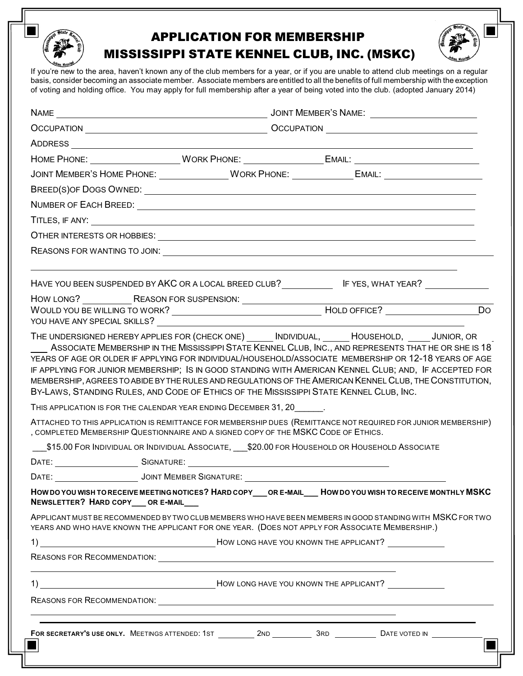

## APPLICATION FOR MEMBERSHIP MISSISSIPPI STATE KENNEL CLUB, INC. (MSKC)



If you're new to the area, haven't known any of the club members for a year, or if you are unable to attend club meetings on a regular basis, consider becoming an associate member. Associate members are entitled to all the benefits of full membership with the exception of voting and holding office. You may apply for full membership after a year of being voted into the club. (adopted January 2014)

| JOINT MEMBER'S HOME PHONE: __________________WORK PHONE: ________________________                                                                                                                                                                                                                                                                                                                                                                                                                                                                                                       |  |  |  |           |
|-----------------------------------------------------------------------------------------------------------------------------------------------------------------------------------------------------------------------------------------------------------------------------------------------------------------------------------------------------------------------------------------------------------------------------------------------------------------------------------------------------------------------------------------------------------------------------------------|--|--|--|-----------|
|                                                                                                                                                                                                                                                                                                                                                                                                                                                                                                                                                                                         |  |  |  |           |
|                                                                                                                                                                                                                                                                                                                                                                                                                                                                                                                                                                                         |  |  |  |           |
|                                                                                                                                                                                                                                                                                                                                                                                                                                                                                                                                                                                         |  |  |  |           |
|                                                                                                                                                                                                                                                                                                                                                                                                                                                                                                                                                                                         |  |  |  |           |
|                                                                                                                                                                                                                                                                                                                                                                                                                                                                                                                                                                                         |  |  |  |           |
| HAVE YOU BEEN SUSPENDED BY AKC OR A LOCAL BREED CLUB? IF YES, WHAT YEAR? IN A LOCALLOCALLY                                                                                                                                                                                                                                                                                                                                                                                                                                                                                              |  |  |  |           |
| YOU HAVE ANY SPECIAL SKILLS?                                                                                                                                                                                                                                                                                                                                                                                                                                                                                                                                                            |  |  |  | <b>Do</b> |
| IF APPLYING FOR JUNIOR MEMBERSHIP; IS IN GOOD STANDING WITH AMERICAN KENNEL CLUB; AND, IF ACCEPTED FOR<br>MEMBERSHIP, AGREES TO ABIDE BY THE RULES AND REGULATIONS OF THE AMERICAN KENNEL CLUB, THE CONSTITUTION,<br>BY-LAWS, STANDING RULES, AND CODE OF ETHICS OF THE MISSISSIPPI STATE KENNEL CLUB, INC.<br>THIS APPLICATION IS FOR THE CALENDAR YEAR ENDING DECEMBER 31, 20<br>ATTACHED TO THIS APPLICATION IS REMITTANCE FOR MEMBERSHIP DUES (REMITTANCE NOT REQUIRED FOR JUNIOR MEMBERSHIP)<br>, COMPLETED MEMBERSHIP QUESTIONNAIRE AND A SIGNED COPY OF THE MSKC CODE OF ETHICS. |  |  |  |           |
| ___\$15.00 FOR INDIVIDUAL OR INDIVIDUAL ASSOCIATE, ___\$20.00 FOR HOUSEHOLD OR HOUSEHOLD ASSOCIATE                                                                                                                                                                                                                                                                                                                                                                                                                                                                                      |  |  |  |           |
|                                                                                                                                                                                                                                                                                                                                                                                                                                                                                                                                                                                         |  |  |  |           |
|                                                                                                                                                                                                                                                                                                                                                                                                                                                                                                                                                                                         |  |  |  |           |
| HOW DO YOU WISH TO RECEIVE MEETING NOTICES? HARD COPY__OR E-MAIL__ HOW DO YOU WISH TO RECEIVE MONTHLY MSKC<br>NEWSLETTER? HARD COPY ___ OR E-MAIL ___                                                                                                                                                                                                                                                                                                                                                                                                                                   |  |  |  |           |
| APPLICANT MUST BE RECOMMENDED BY TWO CLUB MEMBERS WHO HAVE BEEN MEMBERS IN GOOD STANDING WITH MSKC FOR TWO<br>YEARS AND WHO HAVE KNOWN THE APPLICANT FOR ONE YEAR. (DOES NOT APPLY FOR ASSOCIATE MEMBERSHIP.)                                                                                                                                                                                                                                                                                                                                                                           |  |  |  |           |
|                                                                                                                                                                                                                                                                                                                                                                                                                                                                                                                                                                                         |  |  |  |           |
|                                                                                                                                                                                                                                                                                                                                                                                                                                                                                                                                                                                         |  |  |  |           |
|                                                                                                                                                                                                                                                                                                                                                                                                                                                                                                                                                                                         |  |  |  |           |
|                                                                                                                                                                                                                                                                                                                                                                                                                                                                                                                                                                                         |  |  |  |           |
| <u> 1989 - Johann Stoff, deutscher Stoffen und der Stoffen und der Stoffen und der Stoffen und der Stoffen und der</u>                                                                                                                                                                                                                                                                                                                                                                                                                                                                  |  |  |  |           |
|                                                                                                                                                                                                                                                                                                                                                                                                                                                                                                                                                                                         |  |  |  |           |
|                                                                                                                                                                                                                                                                                                                                                                                                                                                                                                                                                                                         |  |  |  |           |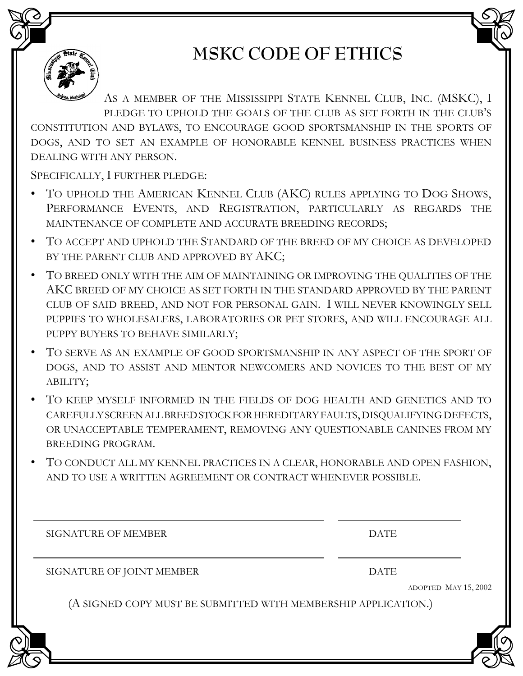

# **MSKC CODE OF ETHICS**

AS A MEMBER OF THE MISSISSIPPI STATE KENNEL CLUB, INC. (MSKC), I PLEDGE TO UPHOLD THE GOALS OF THE CLUB AS SET FORTH IN THE CLUB'S CONSTITUTION AND BYLAWS, TO ENCOURAGE GOOD SPORTSMANSHIP IN THE SPORTS OF DOGS, AND TO SET AN EXAMPLE OF HONORABLE KENNEL BUSINESS PRACTICES WHEN DEALING WITH ANY PERSON.

SPECIFICALLY, I FURTHER PLEDGE:

- TO UPHOLD THE AMERICAN KENNEL CLUB (AKC) RULES APPLYING TO DOG SHOWS, PERFORMANCE EVENTS, AND REGISTRATION, PARTICULARLY AS REGARDS THE MAINTENANCE OF COMPLETE AND ACCURATE BREEDING RECORDS;
- TO ACCEPT AND UPHOLD THE STANDARD OF THE BREED OF MY CHOICE AS DEVELOPED BY THE PARENT CLUB AND APPROVED BY AKC;
- TO BREED ONLY WITH THE AIM OF MAINTAINING OR IMPROVING THE QUALITIES OF THE AKC BREED OF MY CHOICE AS SET FORTH IN THE STANDARD APPROVED BY THE PARENT CLUB OF SAID BREED, AND NOT FOR PERSONAL GAIN. I WILL NEVER KNOWINGLY SELL PUPPIES TO WHOLESALERS, LABORATORIES OR PET STORES, AND WILL ENCOURAGE ALL PUPPY BUYERS TO BEHAVE SIMILARLY;
- TO SERVE AS AN EXAMPLE OF GOOD SPORTSMANSHIP IN ANY ASPECT OF THE SPORT OF DOGS, AND TO ASSIST AND MENTOR NEWCOMERS AND NOVICES TO THE BEST OF MY ABILITY;
- TO KEEP MYSELF INFORMED IN THE FIELDS OF DOG HEALTH AND GENETICS AND TO CAREFULLYSCREENALLBREEDSTOCKFORHEREDITARY FAULTS,DISQUALIFYINGDEFECTS, OR UNACCEPTABLE TEMPERAMENT, REMOVING ANY QUESTIONABLE CANINES FROM MY BREEDING PROGRAM.
- TO CONDUCT ALL MY KENNEL PRACTICES IN A CLEAR, HONORABLE AND OPEN FASHION, AND TO USE A WRITTEN AGREEMENT OR CONTRACT WHENEVER POSSIBLE.

SIGNATURE OF MEMBER DATE

SIGNATURE OF JOINT MEMBER DATE

ADOPTED MAY 15, 2002

(A SIGNED COPY MUST BE SUBMITTED WITH MEMBERSHIP APPLICATION.)